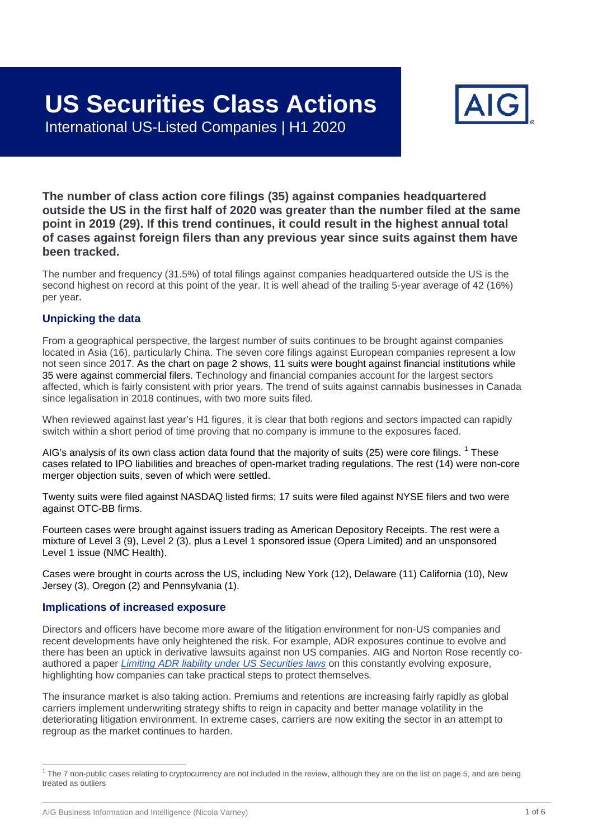# **US Securities Class Actions**



International US-Listed Companies | H1 2020

**The number of class action core filings (35) against companies headquartered outside the US in the first half of 2020 was greater than the number filed at the same point in 2019 (29). If this trend continues, it could result in the highest annual total of cases against foreign filers than any previous year since suits against them have been tracked.** 

The number and frequency (31.5%) of total filings against companies headquartered outside the US is the second highest on record at this point of the year. It is well ahead of the trailing 5-year average of 42 (16%) per year.

### **Unpicking the data**

From a geographical perspective, the largest number of suits continues to be brought against companies located in Asia (16), particularly China. The seven core filings against European companies represent a low not seen since 2017. As the chart on page 2 shows, 11 suits were bought against financial institutions while 35 were against commercial filers. Technology and financial companies account for the largest sectors affected, which is fairly consistent with prior years. The trend of suits against cannabis businesses in Canada since legalisation in 2018 continues, with two more suits filed.

When reviewed against last year's H1 figures, it is clear that both regions and sectors impacted can rapidly switch within a short period of time proving that no company is immune to the exposures faced.

AIG's analysis of its own class action data found that the majority of suits (25) were core filings. <sup>[1](#page-0-0)</sup> These cases related to IPO liabilities and breaches of open-market trading regulations. The rest (14) were non-core merger objection suits, seven of which were settled.

Twenty suits were filed against NASDAQ listed firms; 17 suits were filed against NYSE filers and two were against OTC-BB firms.

Fourteen cases were brought against issuers trading as American Depository Receipts. The rest were a mixture of Level 3 (9), Level 2 (3), plus a Level 1 sponsored issue (Opera Limited) and an unsponsored Level 1 issue (NMC Health).

Cases were brought in courts across the US, including New York (12), Delaware (11) California (10), New Jersey (3), Oregon (2) and Pennsylvania (1).

#### **Implications of increased exposure**

Directors and officers have become more aware of the litigation environment for non-US companies and recent developments have only heightened the risk. For example, ADR exposures continue to evolve and there has been an uptick in derivative lawsuits against non US companies. AIG and Norton Rose recently coauthored a paper *[Limiting ADR liability under US Securities laws](http://www.aig.co.uk/util/insight-page/article-limiting-adr-liability)* on this constantly evolving exposure, highlighting how companies can take practical steps to protect themselves*.* 

The insurance market is also taking action. Premiums and retentions are increasing fairly rapidly as global carriers implement underwriting strategy shifts to reign in capacity and better manage volatility in the deteriorating litigation environment. In extreme cases, carriers are now exiting the sector in an attempt to regroup as the market continues to harden.

<span id="page-0-0"></span> $1$  The 7 non-public cases relating to cryptocurrency are not included in the review, although they are on the list on page 5, and are being treated as outliers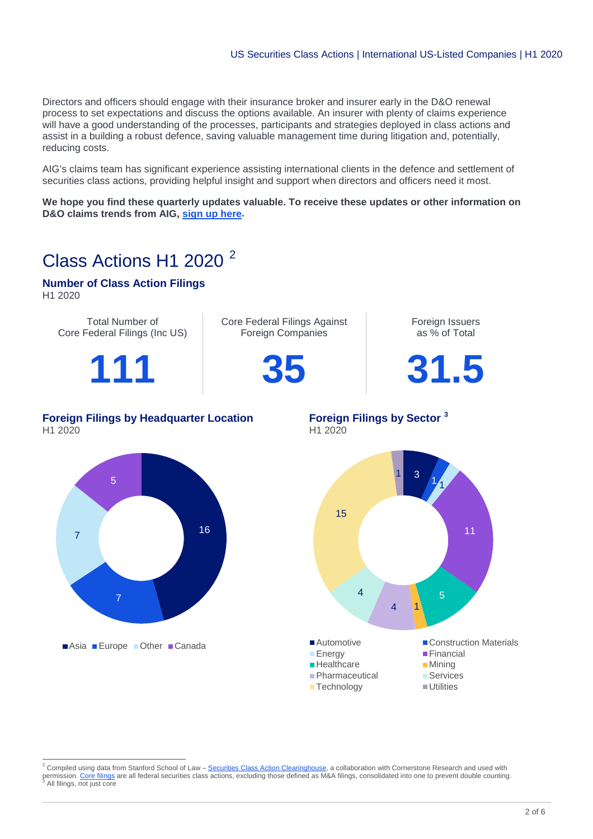Directors and officers should engage with their insurance broker and insurer early in the D&O renewal process to set expectations and discuss the options available. An insurer with plenty of claims experience will have a good understanding of the processes, participants and strategies deployed in class actions and assist in a building a robust defence, saving valuable management time during litigation and, potentially, reducing costs.

AIG's claims team has significant experience assisting international clients in the defence and settlement of securities class actions, providing helpful insight and support when directors and officers need it most.

**We hope you find these quarterly updates valuable. To receive these updates or other information on D&O claims trends from AIG, [sign up here.](http://www-109.aig.com/SignUp)**

# Class Actions H1 [2](#page-1-0)020<sup>2</sup>

**Number of Class Action Filings**  H1 2020



<span id="page-1-1"></span><span id="page-1-0"></span> <sup>2</sup> Compiled using data from Stanford School of Law – [Securities Class Action Clearinghouse,](http://securities.stanford.edu/index.html) a collaboration with Cornerstone Research and used with permission. <u>Core filings</u> are all federal securities class actions, excluding those defined as M&A filings, consolidated into one to prevent double counting.<br><sup>3</sup> All filings, not just core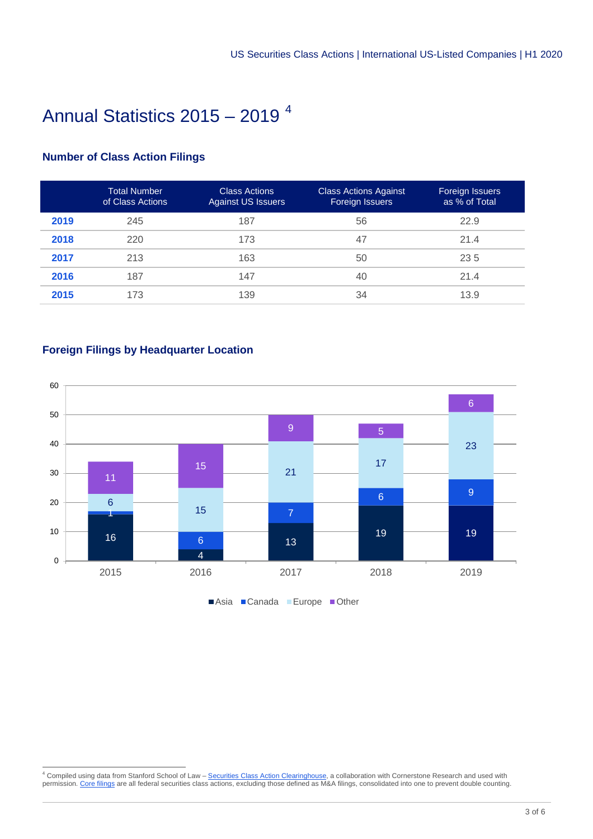# Annual Statistics 2015 – 2019 [4](#page-2-0)

## **Number of Class Action Filings**

|      | <b>Total Number</b><br>of Class Actions | <b>Class Actions</b><br><b>Against US Issuers</b> | <b>Class Actions Against</b><br>Foreign Issuers | Foreign Issuers<br>as % of Total |
|------|-----------------------------------------|---------------------------------------------------|-------------------------------------------------|----------------------------------|
| 2019 | 245                                     | 187                                               | 56                                              | 22.9                             |
| 2018 | 220                                     | 173                                               | 47                                              | 21.4                             |
| 2017 | 213                                     | 163                                               | 50                                              | 235                              |
| 2016 | 187                                     | 147                                               | 40                                              | 21.4                             |
| 2015 | 173                                     | 139                                               | 34                                              | 13.9                             |





Asia Canada Europe Other

<span id="page-2-0"></span> Compiled using data from Stanford School of Law – [Securities Class Action Clearinghouse,](http://securities.stanford.edu/index.html) a collaboration with Cornerstone Research and used with permission[. Core filings](http://securities.stanford.edu/about-the-scac.html) are all federal securities class actions, excluding those defined as M&A filings, consolidated into one to prevent double counting.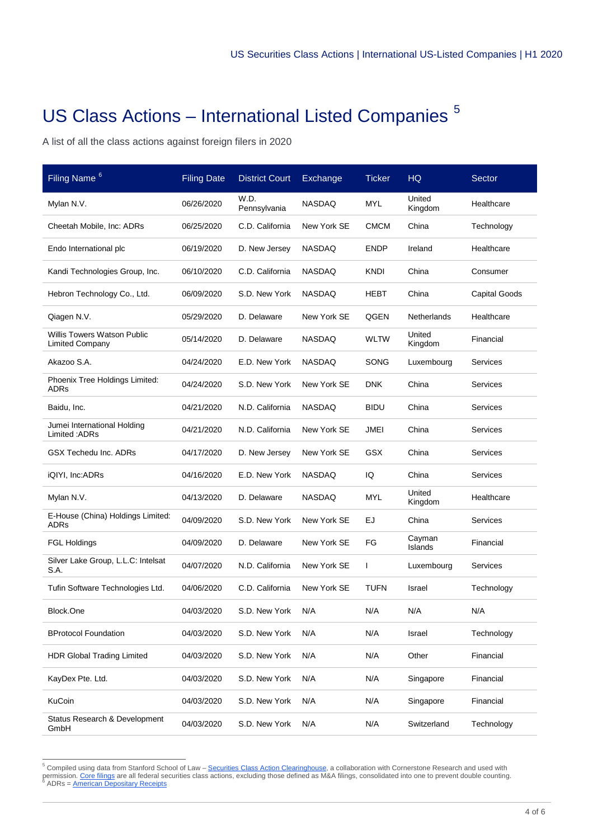# US Class Actions – International Listed Companies<sup>[5](#page-3-0)</sup>

A list of all the class actions against foreign filers in 2020

| Filing Name <sup>6</sup>                                     | <b>Filing Date</b> | <b>District Court</b> | Exchange      | <b>Ticker</b> | <b>HQ</b>         | Sector          |
|--------------------------------------------------------------|--------------------|-----------------------|---------------|---------------|-------------------|-----------------|
| Mylan N.V.                                                   | 06/26/2020         | W.D.<br>Pennsylvania  | <b>NASDAQ</b> | MYL           | United<br>Kingdom | Healthcare      |
| Cheetah Mobile, Inc: ADRs                                    | 06/25/2020         | C.D. California       | New York SE   | <b>CMCM</b>   | China             | Technology      |
| Endo International plc                                       | 06/19/2020         | D. New Jersey         | <b>NASDAQ</b> | <b>ENDP</b>   | Ireland           | Healthcare      |
| Kandi Technologies Group, Inc.                               | 06/10/2020         | C.D. California       | <b>NASDAQ</b> | <b>KNDI</b>   | China             | Consumer        |
| Hebron Technology Co., Ltd.                                  | 06/09/2020         | S.D. New York         | <b>NASDAQ</b> | HEBT          | China             | Capital Goods   |
| Qiagen N.V.                                                  | 05/29/2020         | D. Delaware           | New York SE   | QGEN          | Netherlands       | Healthcare      |
| <b>Willis Towers Watson Public</b><br><b>Limited Company</b> | 05/14/2020         | D. Delaware           | NASDAQ        | WLTW          | United<br>Kingdom | Financial       |
| Akazoo S.A.                                                  | 04/24/2020         | E.D. New York         | <b>NASDAQ</b> | SONG          | Luxembourg        | Services        |
| Phoenix Tree Holdings Limited:<br>ADRs                       | 04/24/2020         | S.D. New York         | New York SE   | <b>DNK</b>    | China             | <b>Services</b> |
| Baidu, Inc.                                                  | 04/21/2020         | N.D. California       | <b>NASDAQ</b> | <b>BIDU</b>   | China             | Services        |
| Jumei International Holding<br>Limited: ADRs                 | 04/21/2020         | N.D. California       | New York SE   | <b>JMEI</b>   | China             | Services        |
| <b>GSX Techedu Inc. ADRs</b>                                 | 04/17/2020         | D. New Jersey         | New York SE   | <b>GSX</b>    | China             | Services        |
| iQIYI, Inc:ADRs                                              | 04/16/2020         | E.D. New York         | <b>NASDAQ</b> | IQ            | China             | Services        |
| Mylan N.V.                                                   | 04/13/2020         | D. Delaware           | <b>NASDAQ</b> | MYL           | United<br>Kingdom | Healthcare      |
| E-House (China) Holdings Limited:<br>ADRs                    | 04/09/2020         | S.D. New York         | New York SE   | EJ            | China             | Services        |
| <b>FGL Holdings</b>                                          | 04/09/2020         | D. Delaware           | New York SE   | FG            | Cayman<br>Islands | Financial       |
| Silver Lake Group, L.L.C: Intelsat<br>S.A.                   | 04/07/2020         | N.D. California       | New York SE   | T             | Luxembourg        | Services        |
| Tufin Software Technologies Ltd.                             | 04/06/2020         | C.D. California       | New York SE   | <b>TUFN</b>   | Israel            | Technology      |
| Block.One                                                    | 04/03/2020         | S.D. New York         | N/A           | N/A           | N/A               | N/A             |
| <b>BProtocol Foundation</b>                                  | 04/03/2020         | S.D. New York         | N/A           | N/A           | Israel            | Technology      |
| <b>HDR Global Trading Limited</b>                            | 04/03/2020         | S.D. New York         | N/A           | N/A           | Other             | Financial       |
| KayDex Pte. Ltd.                                             | 04/03/2020         | S.D. New York         | N/A           | N/A           | Singapore         | Financial       |
| KuCoin                                                       | 04/03/2020         | S.D. New York         | N/A           | N/A           | Singapore         | Financial       |
| Status Research & Development<br>GmbH                        | 04/03/2020         | S.D. New York         | N/A           | N/A           | Switzerland       | Technology      |

<span id="page-3-1"></span><span id="page-3-0"></span> <sup>5</sup> Compiled using data from Stanford School of Law – [Securities Class Action Clearinghouse,](http://securities.stanford.edu/index.html) a collaboration with Cornerstone Research and used with permission. <u>Core filings</u> are all federal securities class actions, excluding those defined as M&A filings, consolidated into one to prevent double counting.<br><sup>6</sup> ADRs = <u>American Depositary Receipts</u>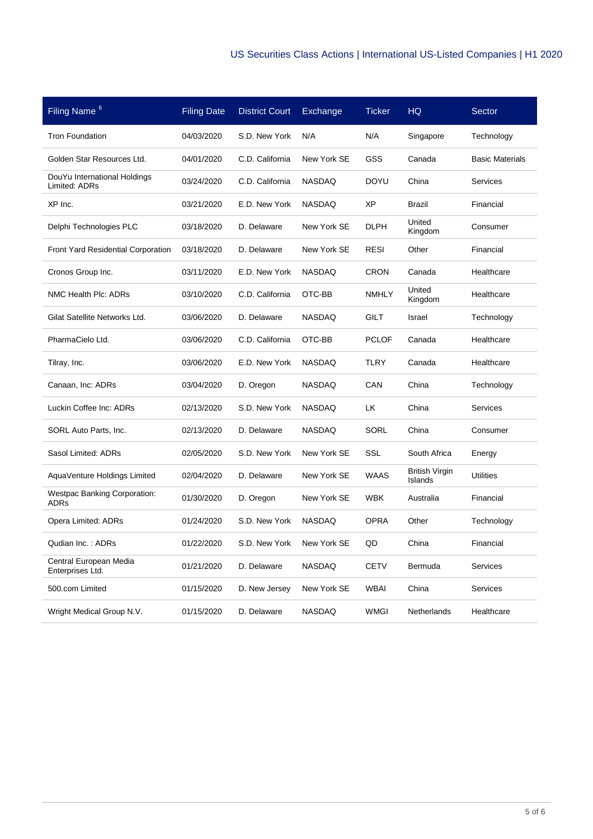| Filing Name <sup>6</sup>                      | <b>Filing Date</b> | <b>District Court</b> | Exchange      | <b>Ticker</b> | HQ                               | <b>Sector</b>          |
|-----------------------------------------------|--------------------|-----------------------|---------------|---------------|----------------------------------|------------------------|
| <b>Tron Foundation</b>                        | 04/03/2020         | S.D. New York         | N/A           | N/A           | Singapore                        | Technology             |
| Golden Star Resources Ltd.                    | 04/01/2020         | C.D. California       | New York SE   | GSS           | Canada                           | <b>Basic Materials</b> |
| DouYu International Holdings<br>Limited: ADRs | 03/24/2020         | C.D. California       | <b>NASDAQ</b> | <b>DOYU</b>   | China                            | Services               |
| XP Inc.                                       | 03/21/2020         | E.D. New York         | <b>NASDAQ</b> | ХP            | <b>Brazil</b>                    | Financial              |
| Delphi Technologies PLC                       | 03/18/2020         | D. Delaware           | New York SE   | <b>DLPH</b>   | United<br>Kingdom                | Consumer               |
| <b>Front Yard Residential Corporation</b>     | 03/18/2020         | D. Delaware           | New York SE   | RESI          | Other                            | Financial              |
| Cronos Group Inc.                             | 03/11/2020         | E.D. New York         | <b>NASDAQ</b> | CRON          | Canada                           | Healthcare             |
| NMC Health Plc: ADRs                          | 03/10/2020         | C.D. California       | OTC-BB        | <b>NMHLY</b>  | United<br>Kingdom                | Healthcare             |
| Gilat Satellite Networks Ltd.                 | 03/06/2020         | D. Delaware           | <b>NASDAQ</b> | GILT          | Israel                           | Technology             |
| PharmaCielo Ltd.                              | 03/06/2020         | C.D. California       | OTC-BB        | <b>PCLOF</b>  | Canada                           | Healthcare             |
| Tilray, Inc.                                  | 03/06/2020         | E.D. New York         | <b>NASDAQ</b> | <b>TLRY</b>   | Canada                           | Healthcare             |
| Canaan, Inc: ADRs                             | 03/04/2020         | D. Oregon             | <b>NASDAQ</b> | CAN           | China                            | Technology             |
| Luckin Coffee Inc: ADRs                       | 02/13/2020         | S.D. New York         | <b>NASDAQ</b> | LK            | China                            | Services               |
| SORL Auto Parts, Inc.                         | 02/13/2020         | D. Delaware           | <b>NASDAQ</b> | <b>SORL</b>   | China                            | Consumer               |
| Sasol Limited: ADRs                           | 02/05/2020         | S.D. New York         | New York SE   | <b>SSL</b>    | South Africa                     | Energy                 |
| AquaVenture Holdings Limited                  | 02/04/2020         | D. Delaware           | New York SE   | WAAS          | <b>British Virgin</b><br>Islands | <b>Utilities</b>       |
| <b>Westpac Banking Corporation:</b><br>ADRs   | 01/30/2020         | D. Oregon             | New York SE   | <b>WBK</b>    | Australia                        | Financial              |
| Opera Limited: ADRs                           | 01/24/2020         | S.D. New York         | <b>NASDAQ</b> | <b>OPRA</b>   | Other                            | Technology             |
| Qudian Inc.: ADRs                             | 01/22/2020         | S.D. New York         | New York SE   | QD            | China                            | Financial              |
| Central European Media<br>Enterprises Ltd.    | 01/21/2020         | D. Delaware           | <b>NASDAQ</b> | <b>CETV</b>   | Bermuda                          | Services               |
| 500.com Limited                               | 01/15/2020         | D. New Jersey         | New York SE   | <b>WBAI</b>   | China                            | Services               |
| Wright Medical Group N.V.                     | 01/15/2020         | D. Delaware           | NASDAQ        | <b>WMGI</b>   | Netherlands                      | Healthcare             |